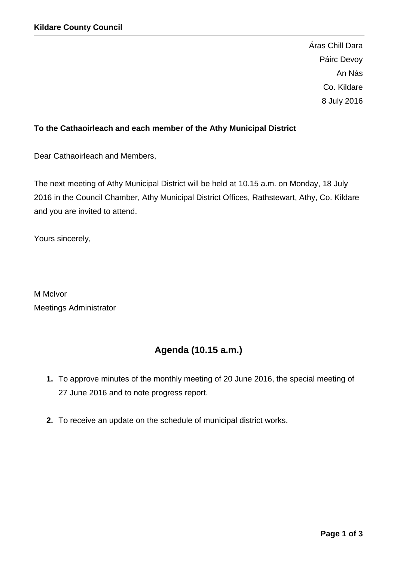Áras Chill Dara Páirc Devoy An Nás Co. Kildare 8 July 2016

# **To the Cathaoirleach and each member of the Athy Municipal District**

Dear Cathaoirleach and Members,

The next meeting of Athy Municipal District will be held at 10.15 a.m. on Monday, 18 July 2016 in the Council Chamber, Athy Municipal District Offices, Rathstewart, Athy, Co. Kildare and you are invited to attend.

Yours sincerely,

M McIvor Meetings Administrator

# **Agenda (10.15 a.m.)**

- **1.** To approve minutes of the monthly meeting of 20 June 2016, the special meeting of 27 June 2016 and to note progress report.
- **2.** To receive an update on the schedule of municipal district works.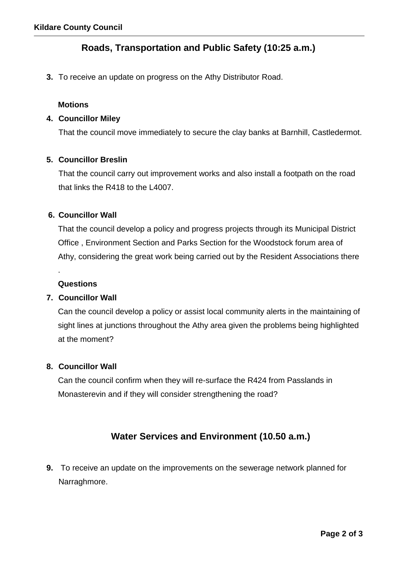# **Roads, Transportation and Public Safety (10:25 a.m.)**

**3.** To receive an update on progress on the Athy Distributor Road.

#### **Motions**

#### **4. Councillor Miley**

That the council move immediately to secure the clay banks at Barnhill, Castledermot.

#### **5. Councillor Breslin**

That the council carry out improvement works and also install a footpath on the road that links the R418 to the L4007.

#### **6. Councillor Wall**

That the council develop a policy and progress projects through its Municipal District Office , Environment Section and Parks Section for the Woodstock forum area of Athy, considering the great work being carried out by the Resident Associations there

### **Questions**

.

# **7. Councillor Wall**

Can the council develop a policy or assist local community alerts in the maintaining of sight lines at junctions throughout the Athy area given the problems being highlighted at the moment?

#### **8. Councillor Wall**

Can the council confirm when they will re-surface the R424 from Passlands in Monasterevin and if they will consider strengthening the road?

# **Water Services and Environment (10.50 a.m.)**

**9.** To receive an update on the improvements on the sewerage network planned for Narraghmore.